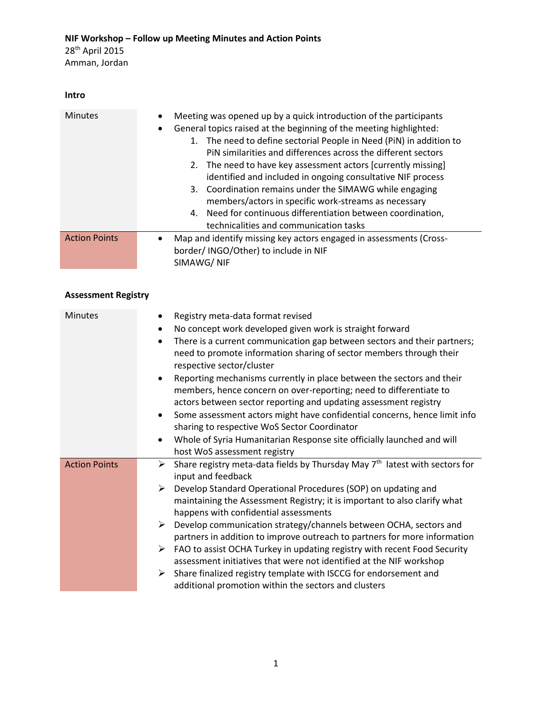### **Intro**

| <b>Minutes</b>       | Meeting was opened up by a quick introduction of the participants<br>$\bullet$<br>General topics raised at the beginning of the meeting highlighted:<br>$\bullet$<br>The need to define sectorial People in Need (PiN) in addition to<br>1.<br>PIN similarities and differences across the different sectors<br>2. The need to have key assessment actors [currently missing]<br>identified and included in ongoing consultative NIF process<br>3. Coordination remains under the SIMAWG while engaging<br>members/actors in specific work-streams as necessary<br>Need for continuous differentiation between coordination,<br>4.<br>technicalities and communication tasks |
|----------------------|------------------------------------------------------------------------------------------------------------------------------------------------------------------------------------------------------------------------------------------------------------------------------------------------------------------------------------------------------------------------------------------------------------------------------------------------------------------------------------------------------------------------------------------------------------------------------------------------------------------------------------------------------------------------------|
| <b>Action Points</b> | Map and identify missing key actors engaged in assessments (Cross-<br>$\bullet$<br>border/ INGO/Other) to include in NIF<br>SIMAWG/NIF                                                                                                                                                                                                                                                                                                                                                                                                                                                                                                                                       |

# **Assessment Registry**

| <b>Minutes</b>       | Registry meta-data format revised<br>$\bullet$                                                                                                                                                                               |
|----------------------|------------------------------------------------------------------------------------------------------------------------------------------------------------------------------------------------------------------------------|
|                      | No concept work developed given work is straight forward<br>$\bullet$                                                                                                                                                        |
|                      | There is a current communication gap between sectors and their partners;<br>$\bullet$<br>need to promote information sharing of sector members through their<br>respective sector/cluster                                    |
|                      | Reporting mechanisms currently in place between the sectors and their<br>$\bullet$<br>members, hence concern on over-reporting; need to differentiate to<br>actors between sector reporting and updating assessment registry |
|                      | Some assessment actors might have confidential concerns, hence limit info<br>$\bullet$                                                                                                                                       |
|                      | sharing to respective WoS Sector Coordinator                                                                                                                                                                                 |
|                      | Whole of Syria Humanitarian Response site officially launched and will<br>$\bullet$                                                                                                                                          |
|                      | host WoS assessment registry                                                                                                                                                                                                 |
| <b>Action Points</b> | Share registry meta-data fields by Thursday May 7 <sup>th</sup> latest with sectors for<br>➤<br>input and feedback                                                                                                           |
|                      | Develop Standard Operational Procedures (SOP) on updating and<br>➤<br>maintaining the Assessment Registry; it is important to also clarify what<br>happens with confidential assessments                                     |
|                      | Develop communication strategy/channels between OCHA, sectors and<br>➤<br>partners in addition to improve outreach to partners for more information                                                                          |
|                      | FAO to assist OCHA Turkey in updating registry with recent Food Security<br>➤<br>assessment initiatives that were not identified at the NIF workshop                                                                         |
|                      | Share finalized registry template with ISCCG for endorsement and<br>➤<br>additional promotion within the sectors and clusters                                                                                                |
|                      |                                                                                                                                                                                                                              |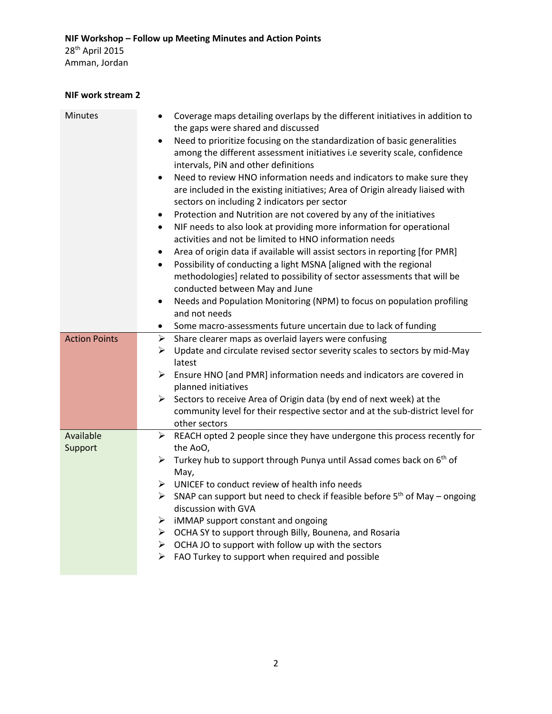#### **NIF work stream 2**

| Minutes              | Coverage maps detailing overlaps by the different initiatives in addition to<br>the gaps were shared and discussed<br>Need to prioritize focusing on the standardization of basic generalities<br>$\bullet$<br>among the different assessment initiatives i.e severity scale, confidence<br>intervals, PiN and other definitions<br>Need to review HNO information needs and indicators to make sure they<br>$\bullet$<br>are included in the existing initiatives; Area of Origin already liaised with<br>sectors on including 2 indicators per sector<br>Protection and Nutrition are not covered by any of the initiatives<br>$\bullet$<br>NIF needs to also look at providing more information for operational<br>$\bullet$<br>activities and not be limited to HNO information needs<br>Area of origin data if available will assist sectors in reporting [for PMR]<br>$\bullet$<br>Possibility of conducting a light MSNA [aligned with the regional<br>$\bullet$<br>methodologies] related to possibility of sector assessments that will be<br>conducted between May and June<br>Needs and Population Monitoring (NPM) to focus on population profiling<br>$\bullet$<br>and not needs<br>Some macro-assessments future uncertain due to lack of funding<br>$\bullet$ |
|----------------------|------------------------------------------------------------------------------------------------------------------------------------------------------------------------------------------------------------------------------------------------------------------------------------------------------------------------------------------------------------------------------------------------------------------------------------------------------------------------------------------------------------------------------------------------------------------------------------------------------------------------------------------------------------------------------------------------------------------------------------------------------------------------------------------------------------------------------------------------------------------------------------------------------------------------------------------------------------------------------------------------------------------------------------------------------------------------------------------------------------------------------------------------------------------------------------------------------------------------------------------------------------------------------|
| <b>Action Points</b> | Share clearer maps as overlaid layers were confusing<br>➤                                                                                                                                                                                                                                                                                                                                                                                                                                                                                                                                                                                                                                                                                                                                                                                                                                                                                                                                                                                                                                                                                                                                                                                                                    |
|                      | Update and circulate revised sector severity scales to sectors by mid-May<br>≻<br>latest                                                                                                                                                                                                                                                                                                                                                                                                                                                                                                                                                                                                                                                                                                                                                                                                                                                                                                                                                                                                                                                                                                                                                                                     |
|                      | Ensure HNO [and PMR] information needs and indicators are covered in<br>➤<br>planned initiatives                                                                                                                                                                                                                                                                                                                                                                                                                                                                                                                                                                                                                                                                                                                                                                                                                                                                                                                                                                                                                                                                                                                                                                             |
|                      | ➤<br>Sectors to receive Area of Origin data (by end of next week) at the                                                                                                                                                                                                                                                                                                                                                                                                                                                                                                                                                                                                                                                                                                                                                                                                                                                                                                                                                                                                                                                                                                                                                                                                     |
|                      | community level for their respective sector and at the sub-district level for<br>other sectors                                                                                                                                                                                                                                                                                                                                                                                                                                                                                                                                                                                                                                                                                                                                                                                                                                                                                                                                                                                                                                                                                                                                                                               |
| Available            | REACH opted 2 people since they have undergone this process recently for<br>≻                                                                                                                                                                                                                                                                                                                                                                                                                                                                                                                                                                                                                                                                                                                                                                                                                                                                                                                                                                                                                                                                                                                                                                                                |
| Support              | the AoO,                                                                                                                                                                                                                                                                                                                                                                                                                                                                                                                                                                                                                                                                                                                                                                                                                                                                                                                                                                                                                                                                                                                                                                                                                                                                     |
|                      | Turkey hub to support through Punya until Assad comes back on 6 <sup>th</sup> of<br>≻<br>May,                                                                                                                                                                                                                                                                                                                                                                                                                                                                                                                                                                                                                                                                                                                                                                                                                                                                                                                                                                                                                                                                                                                                                                                |
|                      | $\triangleright$ UNICEF to conduct review of health info needs                                                                                                                                                                                                                                                                                                                                                                                                                                                                                                                                                                                                                                                                                                                                                                                                                                                                                                                                                                                                                                                                                                                                                                                                               |
|                      | > SNAP can support but need to check if feasible before $5th$ of May – ongoing                                                                                                                                                                                                                                                                                                                                                                                                                                                                                                                                                                                                                                                                                                                                                                                                                                                                                                                                                                                                                                                                                                                                                                                               |
|                      | discussion with GVA                                                                                                                                                                                                                                                                                                                                                                                                                                                                                                                                                                                                                                                                                                                                                                                                                                                                                                                                                                                                                                                                                                                                                                                                                                                          |
|                      | $\triangleright$ iMMAP support constant and ongoing                                                                                                                                                                                                                                                                                                                                                                                                                                                                                                                                                                                                                                                                                                                                                                                                                                                                                                                                                                                                                                                                                                                                                                                                                          |
|                      | > OCHA SY to support through Billy, Bounena, and Rosaria                                                                                                                                                                                                                                                                                                                                                                                                                                                                                                                                                                                                                                                                                                                                                                                                                                                                                                                                                                                                                                                                                                                                                                                                                     |
|                      | $\triangleright$ OCHA JO to support with follow up with the sectors                                                                                                                                                                                                                                                                                                                                                                                                                                                                                                                                                                                                                                                                                                                                                                                                                                                                                                                                                                                                                                                                                                                                                                                                          |
|                      | $\triangleright$ FAO Turkey to support when required and possible                                                                                                                                                                                                                                                                                                                                                                                                                                                                                                                                                                                                                                                                                                                                                                                                                                                                                                                                                                                                                                                                                                                                                                                                            |